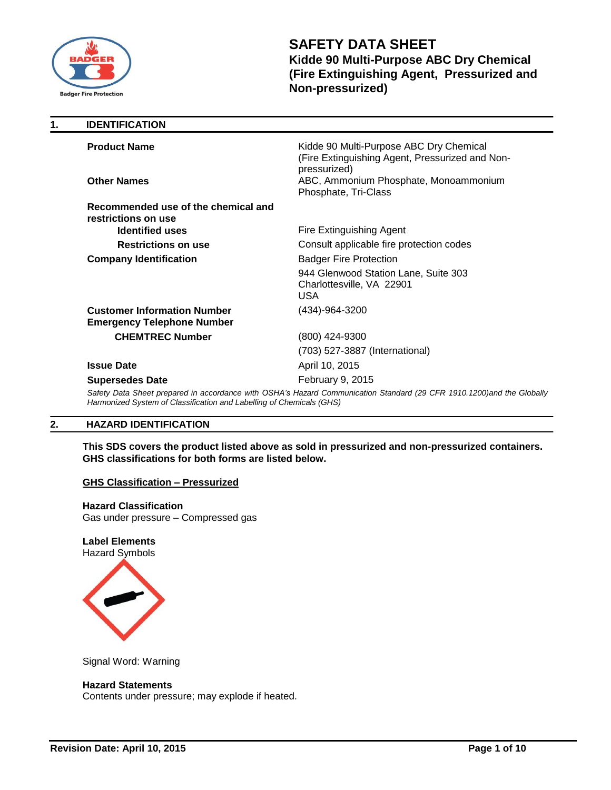

**1. IDENTIFICATION**

# **SAFETY DATA SHEET Kidde 90 Multi-Purpose ABC Dry Chemical (Fire Extinguishing Agent, Pressurized and Non-pressurized)**

| <b>Product Name</b>                                                     | Kidde 90 Multi-Purpose ABC Dry Chemical<br>(Fire Extinguishing Agent, Pressurized and Non-<br>pressurized)            |
|-------------------------------------------------------------------------|-----------------------------------------------------------------------------------------------------------------------|
| <b>Other Names</b>                                                      | ABC, Ammonium Phosphate, Monoammonium<br>Phosphate, Tri-Class                                                         |
| Recommended use of the chemical and<br>restrictions on use              |                                                                                                                       |
| <b>Identified uses</b>                                                  | Fire Extinguishing Agent                                                                                              |
| <b>Restrictions on use</b>                                              | Consult applicable fire protection codes                                                                              |
| <b>Company Identification</b>                                           | <b>Badger Fire Protection</b>                                                                                         |
|                                                                         | 944 Glenwood Station Lane, Suite 303<br>Charlottesville, VA 22901<br>USA.                                             |
| <b>Customer Information Number</b><br><b>Emergency Telephone Number</b> | (434)-964-3200                                                                                                        |
| <b>CHEMTREC Number</b>                                                  | (800) 424-9300                                                                                                        |
|                                                                         | (703) 527-3887 (International)                                                                                        |
| <b>Issue Date</b>                                                       | April 10, 2015                                                                                                        |
| <b>Supersedes Date</b>                                                  | February 9, 2015                                                                                                      |
| Harmonized System of Classification and Labelling of Chemicals (GHS)    | Safety Data Sheet prepared in accordance with OSHA's Hazard Communication Standard (29 CFR 1910.1200)and the Globally |
|                                                                         |                                                                                                                       |

## **2. HAZARD IDENTIFICATION**

**This SDS covers the product listed above as sold in pressurized and non-pressurized containers. GHS classifications for both forms are listed below.**

## **GHS Classification – Pressurized**

**Hazard Classification** Gas under pressure – Compressed gas

**Label Elements** Hazard Symbols



Signal Word: Warning

## **Hazard Statements**

Contents under pressure; may explode if heated.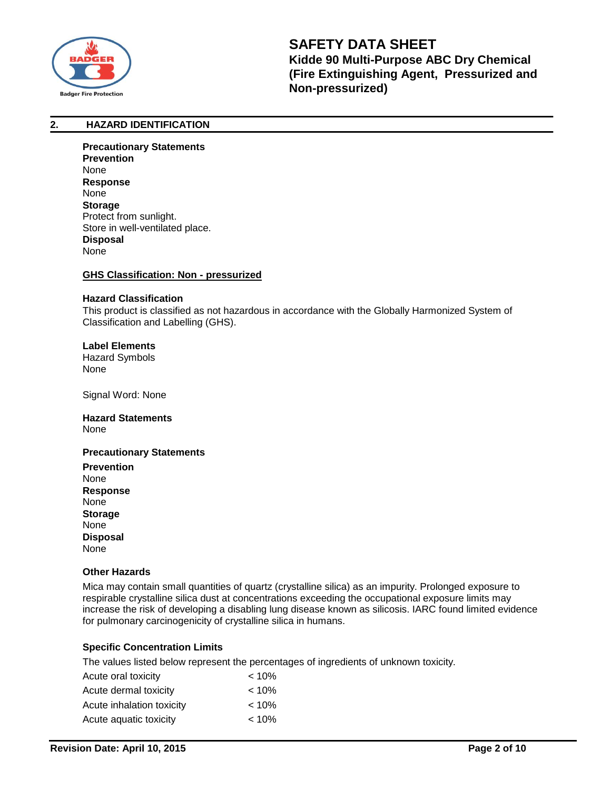

## **2. HAZARD IDENTIFICATION**

**Precautionary Statements Prevention** None **Response** None **Storage** Protect from sunlight. Store in well-ventilated place. **Disposal** None

#### **GHS Classification: Non - pressurized**

#### **Hazard Classification**

This product is classified as not hazardous in accordance with the Globally Harmonized System of Classification and Labelling (GHS).

**Label Elements** Hazard Symbols None

Signal Word: None

## **Hazard Statements**  None

#### **Precautionary Statements**

**Prevention** None **Response** None **Storage** None **Disposal** None

#### **Other Hazards**

Mica may contain small quantities of quartz (crystalline silica) as an impurity. Prolonged exposure to respirable crystalline silica dust at concentrations exceeding the occupational exposure limits may increase the risk of developing a disabling lung disease known as silicosis. IARC found limited evidence for pulmonary carcinogenicity of crystalline silica in humans.

## **Specific Concentration Limits**

The values listed below represent the percentages of ingredients of unknown toxicity.

| Acute oral toxicity       | $< 10\%$ |
|---------------------------|----------|
| Acute dermal toxicity     | $< 10\%$ |
| Acute inhalation toxicity | $< 10\%$ |
| Acute aquatic toxicity    | $< 10\%$ |
|                           |          |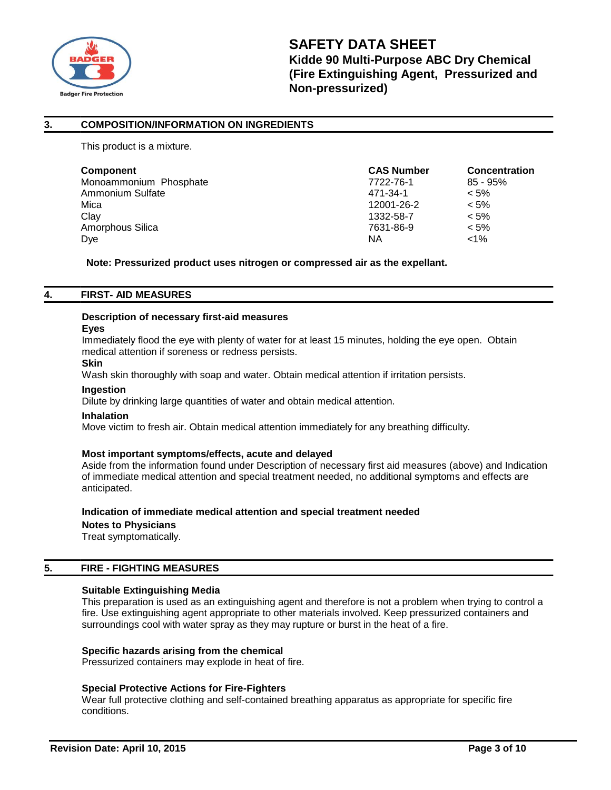

## **3. COMPOSITION/INFORMATION ON INGREDIENTS**

This product is a mixture.

| <b>Component</b>       | <b>CAS Number</b> | <b>Concentration</b> |
|------------------------|-------------------|----------------------|
| Monoammonium Phosphate | 7722-76-1         | $85 - 95%$           |
| Ammonium Sulfate       | 471-34-1          | $< 5\%$              |
| Mica                   | 12001-26-2        | $< 5\%$              |
| Clay                   | 1332-58-7         | $< 5\%$              |
| Amorphous Silica       | 7631-86-9         | $< 5\%$              |
| Dye                    | ΝA                | $< 1\%$              |

**Note: Pressurized product uses nitrogen or compressed air as the expellant.**

## **4. FIRST- AID MEASURES**

#### **Description of necessary first-aid measures**

#### **Eyes**

Immediately flood the eye with plenty of water for at least 15 minutes, holding the eye open. Obtain medical attention if soreness or redness persists.

## **Skin**

Wash skin thoroughly with soap and water. Obtain medical attention if irritation persists.

## **Ingestion**

Dilute by drinking large quantities of water and obtain medical attention.

#### **Inhalation**

Move victim to fresh air. Obtain medical attention immediately for any breathing difficulty.

## **Most important symptoms/effects, acute and delayed**

Aside from the information found under Description of necessary first aid measures (above) and Indication of immediate medical attention and special treatment needed, no additional symptoms and effects are anticipated.

## **Indication of immediate medical attention and special treatment needed**

**Notes to Physicians**

Treat symptomatically.

## **5. FIRE - FIGHTING MEASURES**

## **Suitable Extinguishing Media**

This preparation is used as an extinguishing agent and therefore is not a problem when trying to control a fire. Use extinguishing agent appropriate to other materials involved. Keep pressurized containers and surroundings cool with water spray as they may rupture or burst in the heat of a fire.

## **Specific hazards arising from the chemical**

Pressurized containers may explode in heat of fire.

## **Special Protective Actions for Fire-Fighters**

Wear full protective clothing and self-contained breathing apparatus as appropriate for specific fire conditions.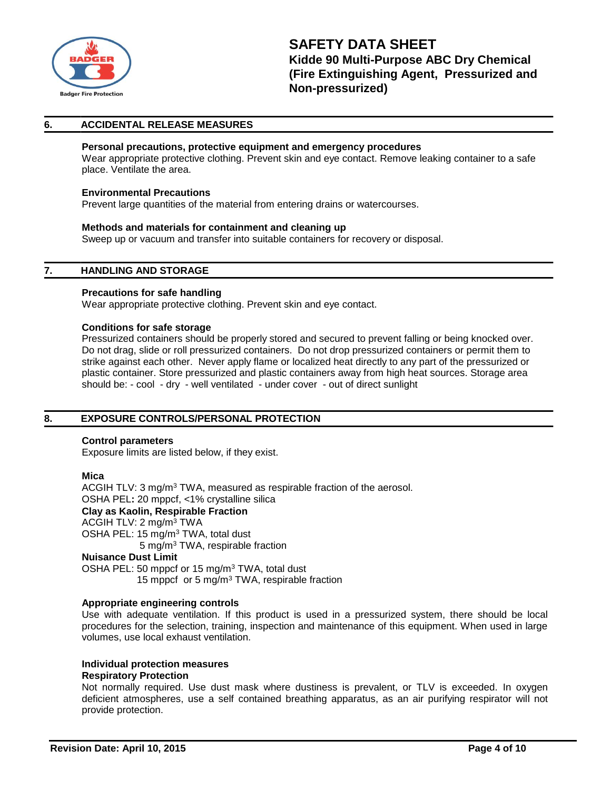

## **6. ACCIDENTAL RELEASE MEASURES**

## **Personal precautions, protective equipment and emergency procedures**

Wear appropriate protective clothing. Prevent skin and eye contact. Remove leaking container to a safe place. Ventilate the area.

#### **Environmental Precautions**

Prevent large quantities of the material from entering drains or watercourses.

#### **Methods and materials for containment and cleaning up**

Sweep up or vacuum and transfer into suitable containers for recovery or disposal.

### **7. HANDLING AND STORAGE**

#### **Precautions for safe handling**

Wear appropriate protective clothing. Prevent skin and eye contact.

#### **Conditions for safe storage**

Pressurized containers should be properly stored and secured to prevent falling or being knocked over. Do not drag, slide or roll pressurized containers. Do not drop pressurized containers or permit them to strike against each other. Never apply flame or localized heat directly to any part of the pressurized or plastic container. Store pressurized and plastic containers away from high heat sources. Storage area should be: - cool - dry - well ventilated - under cover - out of direct sunlight

## **8. EXPOSURE CONTROLS/PERSONAL PROTECTION**

#### **Control parameters**

Exposure limits are listed below, if they exist.

#### **Mica**

ACGIH TLV: 3 mg/m<sup>3</sup> TWA, measured as respirable fraction of the aerosol. OSHA PEL**:** 20 mppcf, <1% crystalline silica **Clay as Kaolin, Respirable Fraction** ACGIH TLV: 2 mg/m<sup>3</sup> TWA OSHA PEL: 15 mg/m<sup>3</sup> TWA, total dust 5 mg/m<sup>3</sup> TWA, respirable fraction **Nuisance Dust Limit** OSHA PEL: 50 mppcf or 15 mg/m<sup>3</sup> TWA, total dust

15 mppcf or 5 mg/m<sup>3</sup> TWA, respirable fraction

#### **Appropriate engineering controls**

Use with adequate ventilation. If this product is used in a pressurized system, there should be local procedures for the selection, training, inspection and maintenance of this equipment. When used in large volumes, use local exhaust ventilation.

## **Individual protection measures**

#### **Respiratory Protection**

Not normally required. Use dust mask where dustiness is prevalent, or TLV is exceeded. In oxygen deficient atmospheres, use a self contained breathing apparatus, as an air purifying respirator will not provide protection.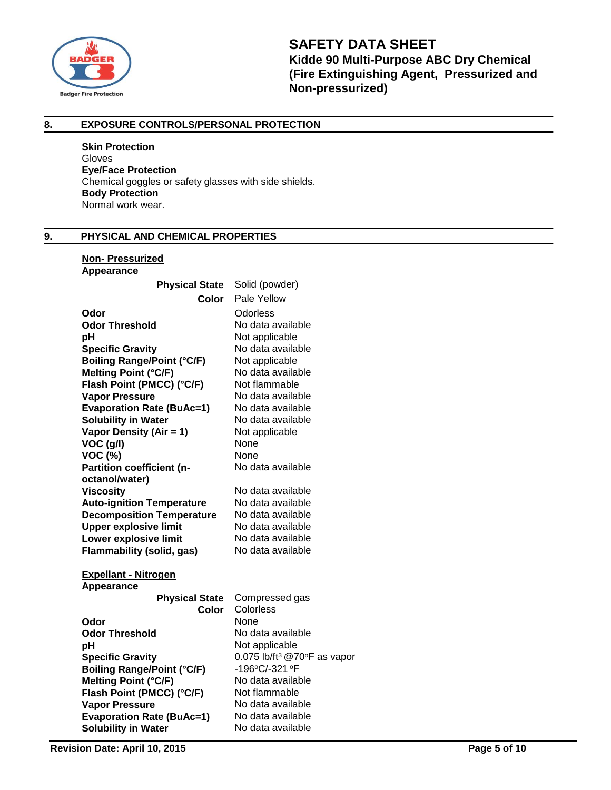

## **8. EXPOSURE CONTROLS/PERSONAL PROTECTION**

**Skin Protection** Gloves **Eye/Face Protection** Chemical goggles or safety glasses with side shields. **Body Protection** Normal work wear.

## **9. PHYSICAL AND CHEMICAL PROPERTIES**

#### **Non- Pressurized Appearance**

| Αμμεαι απισ                       |                                                   |
|-----------------------------------|---------------------------------------------------|
| <b>Physical State</b>             | Solid (powder)                                    |
| Color                             | Pale Yellow                                       |
| Odor                              | Odorless                                          |
| <b>Odor Threshold</b>             | No data available                                 |
| рH                                | Not applicable                                    |
| <b>Specific Gravity</b>           | No data available                                 |
| <b>Boiling Range/Point (°C/F)</b> | Not applicable                                    |
| <b>Melting Point (°C/F)</b>       | No data available                                 |
| Flash Point (PMCC) (°C/F)         | Not flammable                                     |
| <b>Vapor Pressure</b>             | No data available                                 |
| <b>Evaporation Rate (BuAc=1)</b>  | No data available                                 |
| <b>Solubility in Water</b>        | No data available                                 |
| Vapor Density (Air = 1)           | Not applicable                                    |
| VOC (g/l)                         | None                                              |
| <b>VOC (%)</b>                    | None                                              |
| Partition coefficient (n-         | No data available                                 |
| octanol/water)                    |                                                   |
| <b>Viscosity</b>                  | No data available                                 |
| <b>Auto-ignition Temperature</b>  | No data available                                 |
| <b>Decomposition Temperature</b>  | No data available                                 |
| <b>Upper explosive limit</b>      | No data available                                 |
| Lower explosive limit             | No data available                                 |
| Flammability (solid, gas)         | No data available                                 |
| <b>Expellant - Nitrogen</b>       |                                                   |
| Appearance                        |                                                   |
| <b>Physical State</b>             | Compressed gas                                    |
| <b>Color</b>                      | Colorless                                         |
| Odor                              | None                                              |
| <b>Odor Threshold</b>             | No data available                                 |
| pH                                | Not applicable                                    |
| <b>Specific Gravity</b>           | 0.075 lb/ft <sup>3</sup> @70 $\degree$ F as vapor |
| <b>Boiling Range/Point (°C/F)</b> | -196°C/-321°F                                     |
| Melting Point (°C/F)              | No data available                                 |
| Flash Point (PMCC) (°C/F)         | Not flammable                                     |
| <b>Vapor Pressure</b>             | No data available                                 |
| <b>Evaporation Rate (BuAc=1)</b>  | No data available                                 |
| <b>Solubility in Water</b>        | No data available                                 |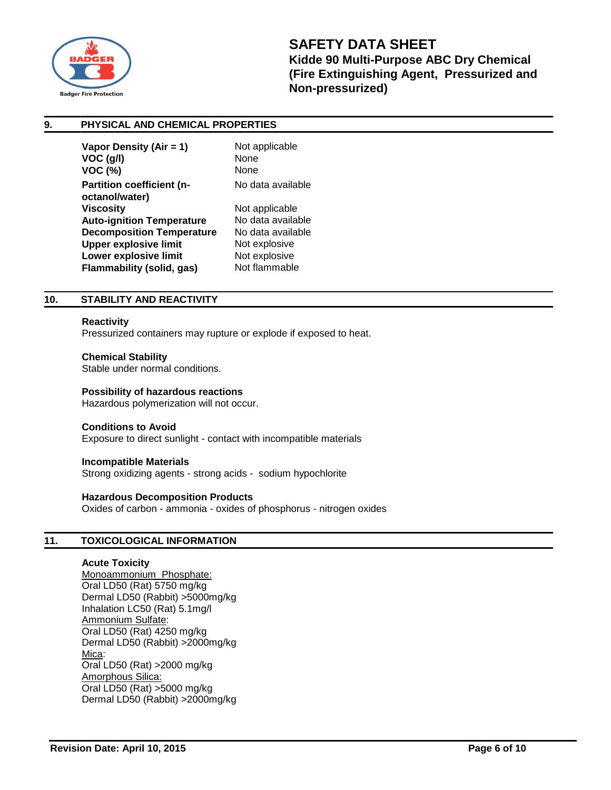

## **9. PHYSICAL AND CHEMICAL PROPERTIES**

| Vapor Density (Air = 1)<br>$VOC$ (g/l)<br><b>VOC (%)</b>         | Not applicable<br>None<br>None      |
|------------------------------------------------------------------|-------------------------------------|
| Partition coefficient (n-<br>octanol/water)                      | No data available                   |
| <b>Viscosity</b><br><b>Auto-ignition Temperature</b>             | Not applicable<br>No data available |
| <b>Decomposition Temperature</b><br><b>Upper explosive limit</b> | No data available<br>Not explosive  |
| Lower explosive limit<br><b>Flammability (solid, gas)</b>        | Not explosive<br>Not flammable      |
|                                                                  |                                     |

## **10. STABILITY AND REACTIVITY**

#### **Reactivity**

Pressurized containers may rupture or explode if exposed to heat.

#### **Chemical Stability**

Stable under normal conditions.

#### **Possibility of hazardous reactions**

Hazardous polymerization will not occur.

#### **Conditions to Avoid**

Exposure to direct sunlight - contact with incompatible materials

#### **Incompatible Materials**

Strong oxidizing agents - strong acids - sodium hypochlorite

## **Hazardous Decomposition Products**

Oxides of carbon - ammonia - oxides of phosphorus - nitrogen oxides

## **11. TOXICOLOGICAL INFORMATION**

## **Acute Toxicity**

Monoammonium Phosphate: Oral LD50 (Rat) 5750 mg/kg Dermal LD50 (Rabbit) >5000mg/kg Inhalation LC50 (Rat) 5.1mg/l Ammonium Sulfate: Oral LD50 (Rat) 4250 mg/kg Dermal LD50 (Rabbit) >2000mg/kg Mica: Oral LD50 (Rat) >2000 mg/kg Amorphous Silica: Oral LD50 (Rat) >5000 mg/kg Dermal LD50 (Rabbit) >2000mg/kg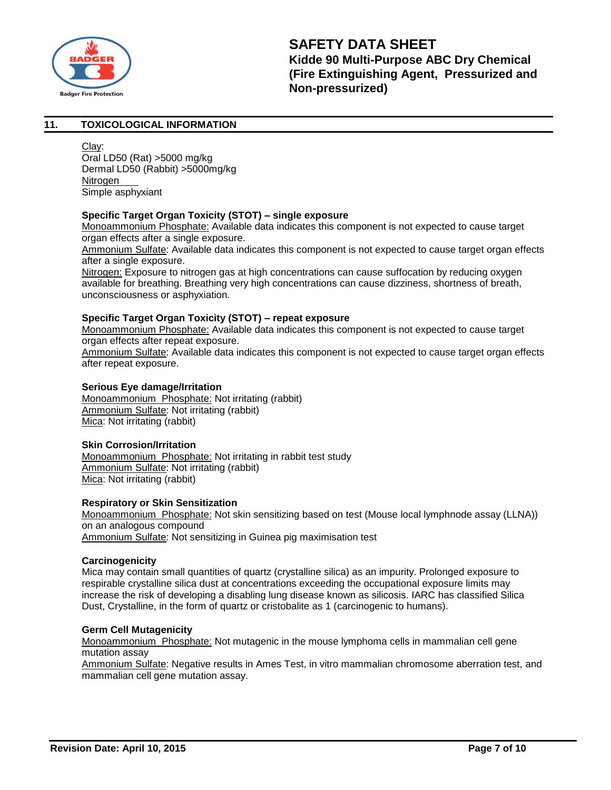

## **11. TOXICOLOGICAL INFORMATION**

Clay: Oral LD50 (Rat) >5000 mg/kg Dermal LD50 (Rabbit) >5000mg/kg Nitrogen Simple asphyxiant

## **Specific Target Organ Toxicity (STOT) – single exposure**

Monoammonium Phosphate: Available data indicates this component is not expected to cause target organ effects after a single exposure.

Ammonium Sulfate: Available data indicates this component is not expected to cause target organ effects after a single exposure.

Nitrogen: Exposure to nitrogen gas at high concentrations can cause suffocation by reducing oxygen available for breathing. Breathing very high concentrations can cause dizziness, shortness of breath, unconsciousness or asphyxiation.

## **Specific Target Organ Toxicity (STOT) – repeat exposure**

Monoammonium Phosphate: Available data indicates this component is not expected to cause target organ effects after repeat exposure.

Ammonium Sulfate: Available data indicates this component is not expected to cause target organ effects after repeat exposure.

## **Serious Eye damage/Irritation**

Monoammonium Phosphate: Not irritating (rabbit) Ammonium Sulfate: Not irritating (rabbit) Mica: Not irritating (rabbit)

## **Skin Corrosion/Irritation**

Monoammonium Phosphate: Not irritating in rabbit test study Ammonium Sulfate: Not irritating (rabbit) Mica: Not irritating (rabbit)

## **Respiratory or Skin Sensitization**

Monoammonium Phosphate: Not skin sensitizing based on test (Mouse local lymphnode assay (LLNA)) on an analogous compound Ammonium Sulfate: Not sensitizing in Guinea pig maximisation test

## **Carcinogenicity**

Mica may contain small quantities of quartz (crystalline silica) as an impurity. Prolonged exposure to respirable crystalline silica dust at concentrations exceeding the occupational exposure limits may increase the risk of developing a disabling lung disease known as silicosis. IARC has classified Silica Dust, Crystalline, in the form of quartz or cristobalite as 1 (carcinogenic to humans).

## **Germ Cell Mutagenicity**

Monoammonium Phosphate: Not mutagenic in the mouse lymphoma cells in mammalian cell gene mutation assay

Ammonium Sulfate: Negative results in Ames Test, in vitro mammalian chromosome aberration test, and mammalian cell gene mutation assay.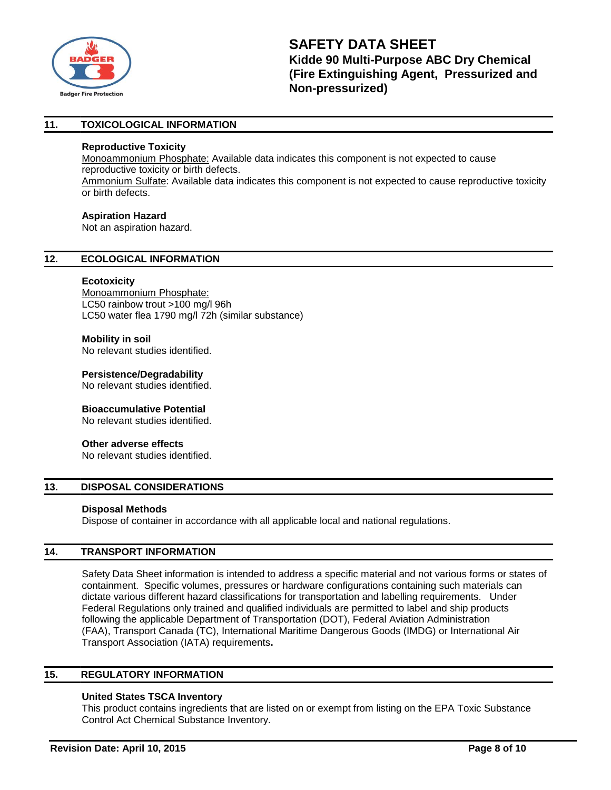

## **11. TOXICOLOGICAL INFORMATION**

#### **Reproductive Toxicity**

Monoammonium Phosphate: Available data indicates this component is not expected to cause reproductive toxicity or birth defects.

Ammonium Sulfate: Available data indicates this component is not expected to cause reproductive toxicity or birth defects.

#### **Aspiration Hazard**

Not an aspiration hazard.

## **12. ECOLOGICAL INFORMATION**

#### **Ecotoxicity**

Monoammonium Phosphate: LC50 rainbow trout >100 mg/l 96h LC50 water flea 1790 mg/l 72h (similar substance)

## **Mobility in soil**

No relevant studies identified.

**Persistence/Degradability**

No relevant studies identified.

## **Bioaccumulative Potential**

No relevant studies identified.

## **Other adverse effects**

No relevant studies identified.

## **13. DISPOSAL CONSIDERATIONS**

#### **Disposal Methods**

Dispose of container in accordance with all applicable local and national regulations.

## **14. TRANSPORT INFORMATION**

Safety Data Sheet information is intended to address a specific material and not various forms or states of containment. Specific volumes, pressures or hardware configurations containing such materials can dictate various different hazard classifications for transportation and labelling requirements. Under Federal Regulations only trained and qualified individuals are permitted to label and ship products following the applicable Department of Transportation (DOT), Federal Aviation Administration (FAA), Transport Canada (TC), International Maritime Dangerous Goods (IMDG) or International Air Transport Association (IATA) requirements**.**

## **15. REGULATORY INFORMATION**

## **United States TSCA Inventory**

This product contains ingredients that are listed on or exempt from listing on the EPA Toxic Substance Control Act Chemical Substance Inventory.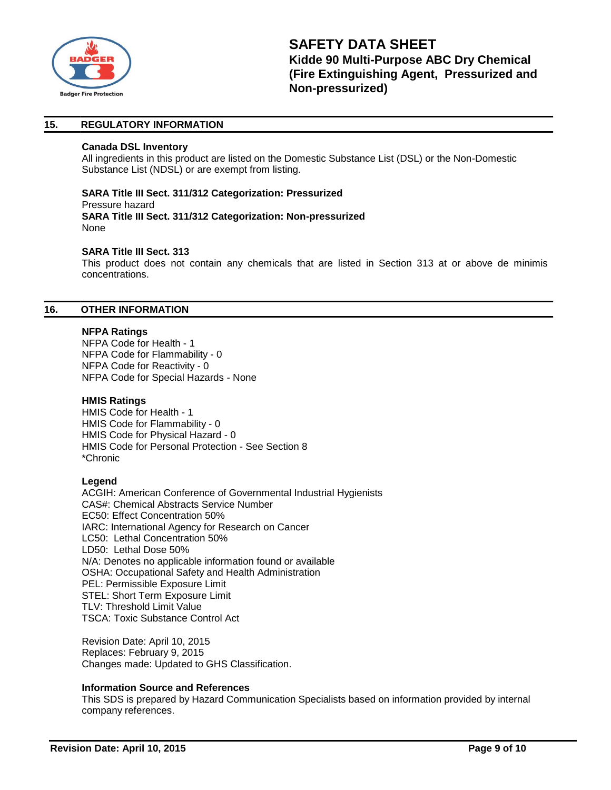

## **15. REGULATORY INFORMATION**

#### **Canada DSL Inventory**

All ingredients in this product are listed on the Domestic Substance List (DSL) or the Non-Domestic Substance List (NDSL) or are exempt from listing.

#### **SARA Title III Sect. 311/312 Categorization: Pressurized**  Pressure hazard **SARA Title III Sect. 311/312 Categorization: Non-pressurized** None

## **SARA Title III Sect. 313**

This product does not contain any chemicals that are listed in Section 313 at or above de minimis concentrations.

#### **16. OTHER INFORMATION**

#### **NFPA Ratings**

NFPA Code for Health - 1 NFPA Code for Flammability - 0 NFPA Code for Reactivity - 0 NFPA Code for Special Hazards - None

## **HMIS Ratings**

HMIS Code for Health - 1 HMIS Code for Flammability - 0 HMIS Code for Physical Hazard - 0 HMIS Code for Personal Protection - See Section 8 \*Chronic

## **Legend**

ACGIH: American Conference of Governmental Industrial Hygienists CAS#: Chemical Abstracts Service Number EC50: Effect Concentration 50% IARC: International Agency for Research on Cancer LC50: Lethal Concentration 50% LD50: Lethal Dose 50% N/A: Denotes no applicable information found or available OSHA: Occupational Safety and Health Administration PEL: Permissible Exposure Limit STEL: Short Term Exposure Limit TLV: Threshold Limit Value TSCA: Toxic Substance Control Act

Revision Date: April 10, 2015 Replaces: February 9, 2015 Changes made: Updated to GHS Classification.

#### **Information Source and References**

This SDS is prepared by Hazard Communication Specialists based on information provided by internal company references.